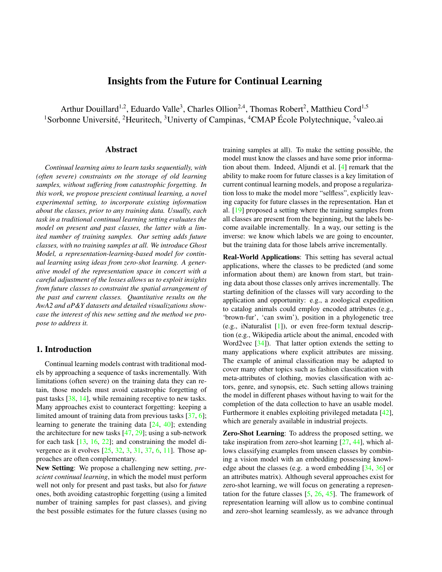# Insights from the Future for Continual Learning

Arthur Douillard<sup>1,2</sup>, Eduardo Valle<sup>3</sup>, Charles Ollion<sup>2,4</sup>, Thomas Robert<sup>2</sup>, Matthieu Cord<sup>1,5</sup> <sup>1</sup>Sorbonne Université, <sup>2</sup>Heuritech, <sup>3</sup>Univerty of Campinas, <sup>4</sup>CMAP École Polytechnique, <sup>5</sup>valeo.ai

## Abstract

*Continual learning aims to learn tasks sequentially, with (often severe) constraints on the storage of old learning samples, without suffering from catastrophic forgetting. In this work, we propose prescient continual learning, a novel experimental setting, to incorporate existing information about the classes, prior to any training data. Usually, each task in a traditional continual learning setting evaluates the model on present and past classes, the latter with a limited number of training samples. Our setting adds future classes, with no training samples at all. We introduce Ghost Model, a representation-learning-based model for continual learning using ideas from zero-shot learning. A generative model of the representation space in concert with a careful adjustment of the losses allows us to exploit insights from future classes to constraint the spatial arrangement of the past and current classes. Quantitative results on the AwA2 and aP&Y datasets and detailed visualizations showcase the interest of this new setting and the method we propose to address it.*

# 1. Introduction

Continual learning models contrast with traditional models by approaching a sequence of tasks incrementally. With limitations (often severe) on the training data they can retain, those models must avoid catastrophic forgetting of past tasks [38, 14], while remaining receptive to new tasks. Many approaches exist to counteract forgetting: keeping a limited amount of training data from previous tasks [37, 6]; learning to generate the training data [24, 40]; extending the architecture for new tasks [47, 29]; using a sub-network for each task [13, 16, 22]; and constraining the model divergence as it evolves [25, 32, 3, 31, 37, 6, 11]. Those approaches are often complementary.

New Setting: We propose a challenging new setting, *prescient continual learning*, in which the model must perform well not only for present and past tasks, but also for *future* ones, both avoiding catastrophic forgetting (using a limited number of training samples for past classes), and giving the best possible estimates for the future classes (using no training samples at all). To make the setting possible, the model must know the classes and have some prior information about them. Indeed, Aljundi et al. [4] remark that the ability to make room for future classes is a key limitation of current continual learning models, and propose a regularization loss to make the model more "selfless", explicitly leaving capacity for future classes in the representation. Han et al. [19] proposed a setting where the training samples from all classes are present from the beginning, but the labels become available incrementally. In a way, our setting is the inverse: we know which labels we are going to encounter, but the training data for those labels arrive incrementally.

Real-World Applications: This setting has several actual applications, where the classes to be predicted (and some information about them) are known from start, but training data about those classes only arrives incrementally. The starting definition of the classes will vary according to the application and opportunity: e.g., a zoological expedition to catalog animals could employ encoded attributes (e.g., 'brown-fur', 'can swim'), position in a phylogenetic tree (e.g., iNaturalist [1]), or even free-form textual description (e.g., Wikipedia article about the animal, encoded with Word2vec [34]). That latter option extends the setting to many applications where explicit attributes are missing. The example of animal classification may be adapted to cover many other topics such as fashion classification with meta-attributes of clothing, movies classification with actors, genre, and synopsis, etc. Such setting allows training the model in different phases without having to wait for the completion of the data collection to have an usable model. Furthermore it enables exploiting privileged metadata [42], which are generaly available in industrial projects.

Zero-Shot Learning: To address the proposed setting, we take inspiration from zero-shot learning [27, 44], which allows classifying examples from unseen classes by combining a vision model with an embedding possessing knowledge about the classes (e.g. a word embedding [34, 36] or an attributes matrix). Although several approaches exist for zero-shot learning, we will focus on generating a representation for the future classes [5, 26, 45]. The framework of representation learning will allow us to combine continual and zero-shot learning seamlessly, as we advance through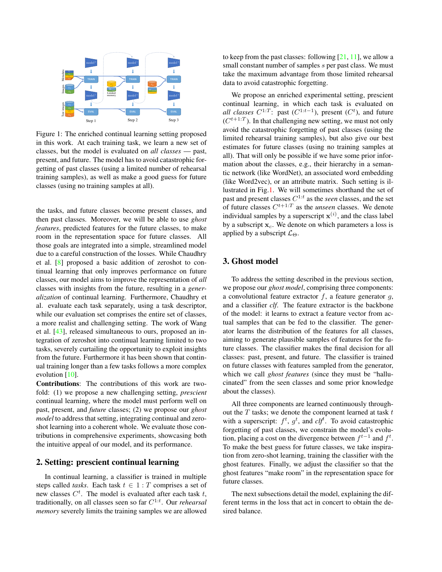

Figure 1: The enriched continual learning setting proposed in this work. At each training task, we learn a new set of classes, but the model is evaluated on *all classes* — past, present, and future. The model has to avoid catastrophic forgetting of past classes (using a limited number of rehearsal training samples), as well as make a good guess for future classes (using no training samples at all).

the tasks, and future classes become present classes, and then past classes. Moreover, we will be able to use *ghost features*, predicted features for the future classes, to make room in the representation space for future classes. All those goals are integrated into a simple, streamlined model due to a careful construction of the losses. While Chaudhry et al. [8] proposed a basic addition of zeroshot to continual learning that only improves performance on future classes, our model aims to improve the representation of *all* classes with insights from the future, resulting in a *generalization* of continual learning. Furthermore, Chaudhry et al. evaluate each task separately, using a task descriptor, while our evaluation set comprises the entire set of classes, a more realist and challenging setting. The work of Wang et al. [43], released simultaneous to ours, proposed an integration of zeroshot into continual learning limited to two tasks, severely curtailing the opportunity to exploit insights from the future. Furthermore it has been shown that continual training longer than a few tasks follows a more complex evolution [10].

Contributions: The contributions of this work are twofold: (1) we propose a new challenging setting, *prescient* continual learning, where the model must perform well on past, present, and *future* classes; (2) we propose our *ghost model* to address that setting, integrating continual and zeroshot learning into a coherent whole. We evaluate those contributions in comprehensive experiments, showcasing both the intuitive appeal of our model, and its performance.

## 2. Setting: prescient continual learning

In continual learning, a classifier is trained in multiple steps called *tasks*. Each task  $t \in 1 : T$  comprises a set of new classes  $C<sup>t</sup>$ . The model is evaluated after each task t, traditionally, on all classes seen so far  $C^{1:t}$ . Our *rehearsal memory* severely limits the training samples we are allowed

to keep from the past classes: following  $[21, 11]$ , we allow a small constant number of samples s per past class. We must take the maximum advantage from those limited rehearsal data to avoid catastrophic forgetting.

We propose an enriched experimental setting, prescient continual learning, in which each task is evaluated on *all classes*  $C^{1:T}$ : past  $(C^{1:t-1})$ , present  $(C<sup>t</sup>)$ , and future  $(C^{t+1:T})$ . In that challenging new setting, we must not only avoid the catastrophic forgetting of past classes (using the limited rehearsal training samples), but also give our best estimates for future classes (using no training samples at all). That will only be possible if we have some prior information about the classes, e.g., their hierarchy in a semantic network (like WordNet), an associated word embedding (like Word2vec), or an attribute matrix. Such setting is illustrated in Fig.1. We will sometimes shorthand the set of past and present classes  $C^{1:t}$  as the *seen* classes, and the set of future classes  $C^{t+1:T}$  as the *unseen* classes. We denote individual samples by a superscript  $\mathbf{x}^{(i)}$ , and the class label by a subscript  $x_c$ . We denote on which parameters a loss is applied by a subscript  $\mathcal{L}_{\Theta}$ .

# 3. Ghost model

To address the setting described in the previous section, we propose our *ghost model*, comprising three components: a convolutional feature extractor  $f$ , a feature generator  $g$ , and a classifier *clf*. The feature extractor is the backbone of the model: it learns to extract a feature vector from actual samples that can be fed to the classifier. The generator learns the distribution of the features for all classes, aiming to generate plausible samples of features for the future classes. The classifier makes the final decision for all classes: past, present, and future. The classifier is trained on future classes with features sampled from the generator, which we call *ghost features* (since they must be "hallucinated" from the seen classes and some prior knowledge about the classes).

All three components are learned continuously throughout the  $T$  tasks; we denote the component learned at task  $t$ with a superscript:  $f^t$ ,  $g^t$ , and  $c l f^t$ . To avoid catastrophic forgetting of past classes, we constrain the model's evolution, placing a cost on the divergence between  $f^{t-1}$  and  $f^t$ . To make the best guess for future classes, we take inspiration from zero-shot learning, training the classifier with the ghost features. Finally, we adjust the classifier so that the ghost features "make room" in the representation space for future classes.

The next subsections detail the model, explaining the different terms in the loss that act in concert to obtain the desired balance.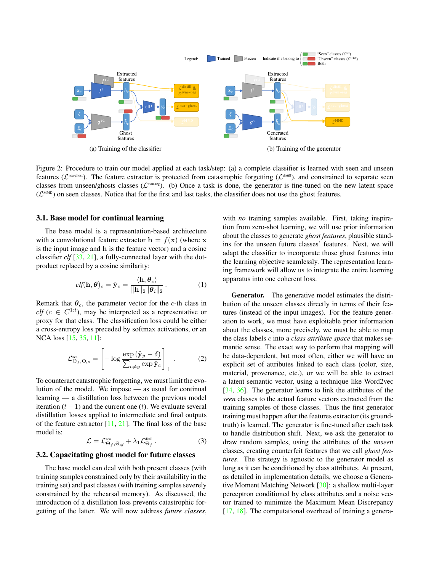

Figure 2: Procedure to train our model applied at each task/step: (a) a complete classifier is learned with seen and unseen features ( $\mathcal{L}^{\text{nearghost}}$ ). The feature extractor is protected from catastrophic forgetting ( $\mathcal{L}^{\text{distill}}$ ), and constrained to separate seen classes from unseen/ghosts classes ( $\mathcal{L}^{\text{sum-reg}}$ ). (b) Once a task is done, the generator is fine-tuned on the new latent space  $(\mathcal{L}^{\text{MMD}})$  on seen classes. Notice that for the first and last tasks, the classifier does not use the ghost features.

## 3.1. Base model for continual learning

The base model is a representation-based architecture with a convolutional feature extractor  $h = f(x)$  (where x is the input image and h is the feature vector) and a cosine classifier *clf* [33, 21], a fully-connected layer with the dotproduct replaced by a cosine similarity:

$$
clf(\mathbf{h}, \boldsymbol{\theta})_c = \hat{\mathbf{y}}_c = \frac{\langle \mathbf{h}, \boldsymbol{\theta}_c \rangle}{\|\mathbf{h}\|_2 \|\boldsymbol{\theta}_i\|_2}.
$$
 (1)

Remark that  $\theta_c$ , the parameter vector for the c-th class in  $\textit{clf}(c \in C^{1:t})$ , may be interpreted as a representative or proxy for that class. The classification loss could be either a cross-entropy loss preceded by softmax activations, or an NCA loss [15, 35, 11]:

$$
\mathcal{L}_{\Theta_f,\Theta_{\text{cyl}}}^{\text{nca}} = \left[ -\log \frac{\exp (\hat{\mathbf{y}}_y - \delta)}{\sum_{c \neq y} \exp \hat{\mathbf{y}}_c} \right]_+ \,. \tag{2}
$$

To counteract catastrophic forgetting, we must limit the evolution of the model. We impose — as usual for continual learning — a distillation loss between the previous model iteration  $(t - 1)$  and the current one  $(t)$ . We evaluate several distillation losses applied to intermediate and final outputs of the feature extractor  $[11, 21]$ . The final loss of the base model is:

$$
\mathcal{L} = \mathcal{L}_{\Theta_f, \Theta_{\text{clf}}}^{\text{nca}} + \lambda_1 \mathcal{L}_{\Theta_f}^{\text{distil}}.
$$
 (3)

#### 3.2. Capacitating ghost model for future classes

The base model can deal with both present classes (with training samples constrained only by their availability in the training set) and past classes (with training samples severely constrained by the rehearsal memory). As discussed, the introduction of a distillation loss prevents catastrophic forgetting of the latter. We will now address *future classes*,

with *no* training samples available. First, taking inspiration from zero-shot learning, we will use prior information about the classes to generate *ghost features*, plausible standins for the unseen future classes' features. Next, we will adapt the classifier to incorporate those ghost features into the learning objective seamlessly. The representation learning framework will allow us to integrate the entire learning apparatus into one coherent loss.

Generator. The generative model estimates the distribution of the unseen classes directly in terms of their features (instead of the input images). For the feature generation to work, we must have exploitable prior information about the classes, more precisely, we must be able to map the class labels c into a *class attribute space* that makes semantic sense. The exact way to perform that mapping will be data-dependent, but most often, either we will have an explicit set of attributes linked to each class (color, size, material, provenance, etc.), or we will be able to extract a latent semantic vector, using a technique like Word2vec [34, 36]. The generator learns to link the attributes of the *seen* classes to the actual feature vectors extracted from the training samples of those classes. Thus the first generator training must happen after the features extractor (its groundtruth) is learned. The generator is fine-tuned after each task to handle distribution shift. Next, we ask the generator to draw random samples, using the attributes of the *unseen* classes, creating counterfeit features that we call *ghost features*. The strategy is agnostic to the generator model as long as it can be conditioned by class attributes. At present, as detailed in implementation details, we choose a Generative Moment Matching Network [30]: a shallow multi-layer perceptron conditioned by class attributes and a noise vector trained to minimize the Maximum Mean Discrepancy [17, 18]. The computational overhead of training a genera-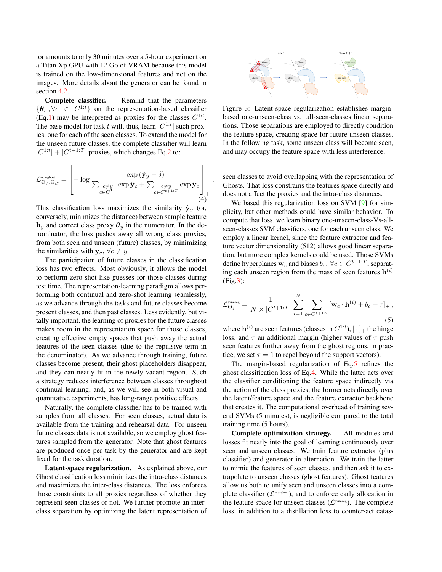tor amounts to only 30 minutes over a 5-hour experiment on a Titan Xp GPU with 12 Go of VRAM because this model is trained on the low-dimensional features and not on the images. More details about the generator can be found in section 4.2.

Complete classifier. Remind that the parameters  $\{\boldsymbol{\theta}_c, \forall c \in C^{1:t}\}\$  on the representation-based classifier (Eq.1) may be interpreted as proxies for the classes  $C^{1:t}$ . The base model for task t will, thus, learn  $|C^{1:t}|$  such proxies, one for each of the seen classes. To extend the model for the unseen future classes, the complete classifier will learn  $|C^{1:t}| + |C^{t+1:T}|$  proxies, which changes Eq.2 to:

$$
\mathcal{L}_{\Theta_f,\Theta_{c\mid f}}^{\text{\tiny neag,host}} = \left[-\log \frac{\exp \left(\hat{\mathbf{y}}_{y}-\delta\right)}{\sum_{\substack{c \neq y \\ c \in C^{1:t}}} \exp \hat{\mathbf{y}}_{c} + \sum_{\substack{c \neq y \\ c \in C^{t+1:T}}} \exp \hat{\mathbf{y}}_{c}}\right]_{+} \tag{4}
$$

.

This classification loss maximizes the similarity  $\hat{y}_y$  (or, conversely, minimizes the distance) between sample feature  $h_y$  and correct class proxy  $\theta_y$  in the numerator. In the denominator, the loss pushes away all wrong class proxies, from both seen and unseen (future) classes, by minimizing the similarities with  $y_c$ ,  $\forall c \neq y$ .

The participation of future classes in the classification loss has two effects. Most obviously, it allows the model to perform zero-shot-like guesses for those classes during test time. The representation-learning paradigm allows performing both continual and zero-shot learning seamlessly, as we advance through the tasks and future classes become present classes, and then past classes. Less evidently, but vitally important, the learning of proxies for the future classes makes room in the representation space for those classes, creating effective empty spaces that push away the actual features of the seen classes (due to the repulsive term in the denominator). As we advance through training, future classes become present, their ghost placeholders disappear, and they can neatly fit in the newly vacant region. Such a strategy reduces interference between classes throughout continual learning, and, as we will see in both visual and quantitative experiments, has long-range positive effects.

Naturally, the complete classifier has to be trained with samples from all classes. For seen classes, actual data is available from the training and rehearsal data. For unseen future classes data is not available, so we employ ghost features sampled from the generator. Note that ghost features are produced once per task by the generator and are kept fixed for the task duration.

Latent-space regularization. As explained above, our Ghost classification loss minimizes the intra-class distances and maximizes the inter-class distances. The loss enforces those constraints to all proxies regardless of whether they represent seen classes or not. We further promote an interclass separation by optimizing the latent representation of



Figure 3: Latent-space regularization establishes marginbased one-unseen-class vs. all-seen-classes linear separations. Those separations are employed to directly condition the feature space, creating space for future unseen classes. In the following task, some unseen class will become seen, and may occupy the feature space with less interference.

seen classes to avoid overlapping with the representation of Ghosts. That loss constrains the features space directly and does not affect the proxies and the intra-class distances.

We based this regularization loss on SVM [9] for simplicity, but other methods could have similar behavior. To compute that loss, we learn binary one-unseen-class-Vs-allseen-classes SVM classifiers, one for each unseen class. We employ a linear kernel, since the feature extractor and feature vector dimensionality (512) allows good linear separation, but more complex kernels could be used. Those SVMs define hyperplanes  $\mathbf{w}_c$  and biases  $b_c$ ,  $\forall c \in C^{t+1:T}$ , separating each unseen region from the mass of seen features  $h^{(i)}$ (Fig.3):

$$
\mathcal{L}_{\Theta_f}^{\text{sum-reg}} = \frac{1}{N \times |C^{t+1:T}|} \sum_{i=1}^{N} \sum_{c \in C^{t+1:T}} [\mathbf{w}_c \cdot \mathbf{h}^{(i)} + b_c + \tau]_+, \tag{5}
$$

where  $\mathbf{h}^{(i)}$  are seen features (classes in  $C^{1:t}$ ),  $[\cdot]_+$  the hinge loss, and  $\tau$  an additional margin (higher values of  $\tau$  push seen features further away from the ghost regions, in practice, we set  $\tau = 1$  to repel beyond the support vectors).

The margin-based regularization of Eq.5 refines the ghost classification loss of Eq.4. While the latter acts over the classifier conditioning the feature space indirectly via the action of the class proxies, the former acts directly over the latent/feature space and the feature extractor backbone that creates it. The computational overhead of training several SVMs (5 minutes), is negligible compared to the total training time (5 hours).

Complete optimization strategy. All modules and losses fit neatly into the goal of learning continuously over seen and unseen classes. We train feature extractor (plus classifier) and generator in alternation. We train the latter to mimic the features of seen classes, and then ask it to extrapolate to unseen classes (ghost features). Ghost features allow us both to unify seen and unseen classes into a complete classifier ( $\mathcal{L}^{\text{nca-ghost}}$ ), and to enforce early allocation in the feature space for unseen classes ( $\mathcal{L}^{\text{sum-reg}}$ ). The complete loss, in addition to a distillation loss to counter-act catas-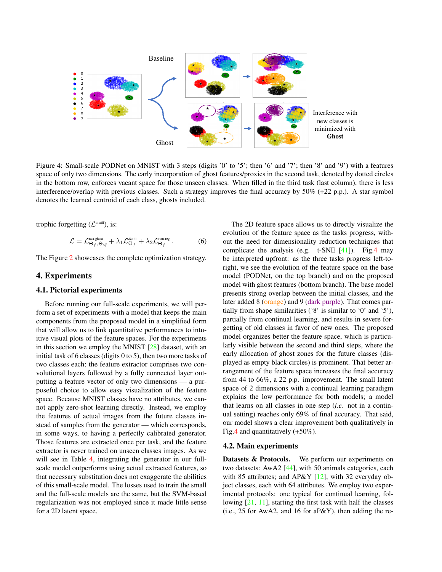

Figure 4: Small-scale PODNet on MNIST with 3 steps (digits '0' to '5'; then '6' and '7'; then '8' and '9') with a features space of only two dimensions. The early incorporation of ghost features/proxies in the second task, denoted by dotted circles in the bottom row, enforces vacant space for those unseen classes. When filled in the third task (last column), there is less interference/overlap with previous classes. Such a strategy improves the final accuracy by 50% (+22 p.p.). A star symbol denotes the learned centroid of each class, ghosts included.

trophic forgetting  $(\mathcal{L}^{\text{distill}})$ , is:

$$
\mathcal{L} = \mathcal{L}_{\Theta_f, \Theta_{\text{clf}}}^{\text{nca-ghost}} + \lambda_1 \mathcal{L}_{\Theta_f}^{\text{still}} + \lambda_2 \mathcal{L}_{\Theta_f}^{\text{sym-reg}}.
$$
 (6)

The Figure 2 showcases the complete optimization strategy.

## 4. Experiments

## 4.1. Pictorial experiments

Before running our full-scale experiments, we will perform a set of experiments with a model that keeps the main components from the proposed model in a simplified form that will allow us to link quantitative performances to intuitive visual plots of the feature spaces. For the experiments in this section we employ the MNIST [28] dataset, with an initial task of 6 classes (digits 0 to 5), then two more tasks of two classes each; the feature extractor comprises two convolutional layers followed by a fully connected layer outputting a feature vector of only two dimensions — a purposeful choice to allow easy visualization of the feature space. Because MNIST classes have no attributes, we cannot apply zero-shot learning directly. Instead, we employ the features of actual images from the future classes instead of samples from the generator — which corresponds, in some ways, to having a perfectly calibrated generator. Those features are extracted once per task, and the feature extractor is never trained on unseen classes images. As we will see in Table 4, integrating the generator in our fullscale model outperforms using actual extracted features, so that necessary substitution does not exaggerate the abilities of this small-scale model. The losses used to train the small and the full-scale models are the same, but the SVM-based regularization was not employed since it made little sense for a 2D latent space.

The 2D feature space allows us to directly visualize the evolution of the feature space as the tasks progress, without the need for dimensionality reduction techniques that complicate the analysis (e.g.  $t$ -SNE [41]). Fig.4 may be interpreted upfront: as the three tasks progress left-toright, we see the evolution of the feature space on the base model (PODNet, on the top branch) and on the proposed model with ghost features (bottom branch). The base model presents strong overlap between the initial classes, and the later added 8 (orange) and 9 (dark purple). That comes partially from shape similarities ('8' is similar to '0' and '5'), partially from continual learning, and results in severe forgetting of old classes in favor of new ones. The proposed model organizes better the feature space, which is particularly visible between the second and third steps, where the early allocation of ghost zones for the future classes (displayed as empty black circles) is prominent. That better arrangement of the feature space increases the final accuracy from 44 to 66%, a 22 p.p. improvement. The small latent space of 2 dimensions with a continual learning paradigm explains the low performance for both models; a model that learns on all classes in one step (*i.e.* not in a continual setting) reaches only 69% of final accuracy. That said, our model shows a clear improvement both qualitatively in Fig.4 and quantitatively (+50%).

#### 4.2. Main experiments

Datasets & Protocols. We perform our experiments on two datasets: AwA2 [44], with 50 animals categories, each with 85 attributes; and AP&Y [12], with 32 everyday object classes, each with 64 attributes. We employ two experimental protocols: one typical for continual learning, following [21, 11], starting the first task with half the classes (i.e., 25 for AwA2, and 16 for aP&Y), then adding the re-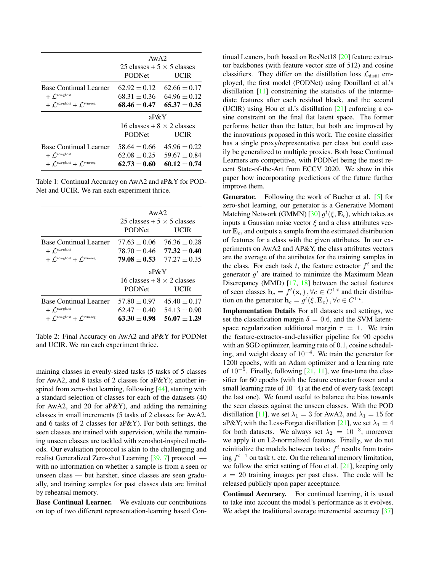|                                                       | AwA2<br>25 classes $+$ 5 $\times$ 5 classes |                  |  |
|-------------------------------------------------------|---------------------------------------------|------------------|--|
|                                                       |                                             |                  |  |
|                                                       | <b>PODNet</b>                               | <b>UCIR</b>      |  |
| <b>Base Continual Learner</b>                         | $62.92 \pm 0.12$                            | $62.66 \pm 0.17$ |  |
| $+$ $\mathcal{L}^{\text{nca-ghost}}$                  | $68.31 \pm 0.36$                            | $64.96 \pm 0.12$ |  |
| $+$ $\int^{\text{nca-ghost}} + \int^{\text{sym-reg}}$ | $68.46 \pm 0.47$                            | $65.37 \pm 0.35$ |  |
|                                                       | $a P \& Y$                                  |                  |  |
|                                                       | 16 classes + $8 \times 2$ classes           |                  |  |
|                                                       | <b>PODNet</b>                               | <b>UCIR</b>      |  |
| <b>Base Continual Learner</b>                         | $58.64 \pm 0.66$                            | $45.96 \pm 0.22$ |  |
| $+ \mathcal{L}^{\text{nca-ghost}}$                    | $62.08 \pm 0.25$                            | $59.67 \pm 0.84$ |  |
| $+$ $\int^{\text{nca-ghost}} + \int^{\text{sym-reg}}$ | $62.73 + 0.60$                              | $60.12 + 0.74$   |  |

Table 1: Continual Accuracy on AwA2 and aP&Y for POD-Net and UCIR. We ran each experiment thrice.

|                                                               | AwA2<br>25 classes $+ 5 \times 5$ classes |                  |  |
|---------------------------------------------------------------|-------------------------------------------|------------------|--|
|                                                               |                                           |                  |  |
|                                                               | <b>PODNet</b>                             | UCIR             |  |
| <b>Base Continual Learner</b>                                 | $77.63 \pm 0.06$                          | $76.36 \pm 0.28$ |  |
| $+ \mathcal{L}^{\text{nca-ghost}}$                            | $78.70 \pm 0.46$                          | $77.32 + 0.40$   |  |
| $+$ $\int$ <sup>nca-ghost</sup> $+$ $\int$ <sup>svm-reg</sup> | $79.08 + 0.53$                            | $77.27 + 0.35$   |  |
|                                                               | $aP\&Y$                                   |                  |  |
|                                                               | 16 classes + $8 \times 2$ classes         |                  |  |
|                                                               | <b>PODNet</b>                             | UCIR             |  |
| <b>Base Continual Learner</b>                                 | $57.80 \pm 0.97$                          | $45.40 \pm 0.17$ |  |
| $+$ $\mathcal{L}^{\text{nca-ghost}}$                          | $62.47 \pm 0.40$                          | $54.13 \pm 0.90$ |  |
| $+$ $\int$ <sup>nca-ghost</sup> + $\int$ <sup>svm-reg</sup>   | $63.30 \pm 0.98$                          | $56.07 + 1.29$   |  |

Table 2: Final Accuracy on AwA2 and aP&Y for PODNet and UCIR. We ran each experiment thrice.

maining classes in evenly-sized tasks (5 tasks of 5 classes for AwA2, and 8 tasks of 2 classes for aP&Y); another inspired from zero-shot learning, following [44], starting with a standard selection of classes for each of the datasets (40 for AwA2, and 20 for aP&Y), and adding the remaining classes in small increments (5 tasks of 2 classes for AwA2, and 6 tasks of 2 classes for aP&Y). For both settings, the seen classes are trained with supervision, while the remaining unseen classes are tackled with zeroshot-inspired methods. Our evaluation protocol is akin to the challenging and realist Generalized Zero-shot Learning [39, 7] protocol with no information on whether a sample is from a seen or unseen class — but harsher, since classes are seen gradually, and training samples for past classes data are limited by rehearsal memory.

Base Continual Learner. We evaluate our contributions on top of two different representation-learning based Continual Leaners, both based on ResNet18 [20] feature extractor backbones (with feature vector size of 512) and cosine classifiers. They differ on the distillation loss  $\mathcal{L}_{distil}$  employed, the first model (PODNet) using Douillard et al.'s distillation [11] constraining the statistics of the intermediate features after each residual block, and the second (UCIR) using Hou et al.'s distillation [21] enforcing a cosine constraint on the final flat latent space. The former performs better than the latter, but both are improved by the innovations proposed in this work. The cosine classifier has a single proxy/representative per class but could easily be generalized to multiple proxies. Both base Continual Learners are competitive, with PODNet being the most recent State-of-the-Art from ECCV 2020. We show in this paper how incorporating predictions of the future further improve them.

**Generator.** Following the work of Bucher et al. [5] for zero-shot learning, our generator is a Generative Moment Matching Network (GMMN) [ $30$ ]  $g^t(\xi, \mathbf{E}_c)$ , which takes as inputs a Gaussian noise vector  $\xi$  and a class attributes vector  $\mathbf{E}_c$ , and outputs a sample from the estimated distribution of features for a class with the given attributes. In our experiments on AwA2 and AP&Y, the class attributes vectors are the average of the attributes for the training samples in the class. For each task  $t$ , the feature extractor  $f<sup>t</sup>$  and the generator  $g^t$  are trained to minimize the Maximum Mean Discrepancy (MMD) [17, 18] between the actual features of seen classes  $h_c = f^t(\mathbf{x}_c)$ ,  $\forall c \in C^{1:t}$  and their distribution on the generator  $\tilde{h}_c = g^t(\xi, E_c)$ ,  $\forall c \in C^{1:t}$ .

Implementation Details For all datasets and settings, we set the classification margin  $\delta = 0.6$ , and the SVM latentspace regularization additional margin  $\tau = 1$ . We train the feature-extractor-and-classifier pipeline for 90 epochs with an SGD optimizer, learning rate of 0.1, cosine scheduling, and weight decay of  $10^{-4}$ . We train the generator for 1200 epochs, with an Adam optimizer and a learning rate of  $10^{-5}$ . Finally, following [21, 11], we fine-tune the classifier for 60 epochs (with the feature extractor frozen and a small learning rate of 10<sup>-</sup>4) at the end of every task (except the last one). We found useful to balance the bias towards the seen classes against the unseen classes. With the POD distillation [11], we set  $\lambda_1 = 3$  for AwA2, and  $\lambda_1 = 15$  for aP&Y; with the Less-Forget distillation [21], we set  $\lambda_1 = 4$ for both datasets. We always set  $\lambda_2 = 10^{-3}$ , moreover we apply it on L2-normalized features. Finally, we do not reinitialize the models between tasks:  $f<sup>t</sup>$  results from training  $f^{t-1}$  on task t, etc. On the rehearsal memory limitation, we follow the strict setting of Hou et al. [21], keeping only  $s = 20$  training images per past class. The code will be released publicly upon paper acceptance.

Continual Accuracy. For continual learning, it is usual to take into account the model's performance as it evolves. We adapt the traditional average incremental accuracy [37]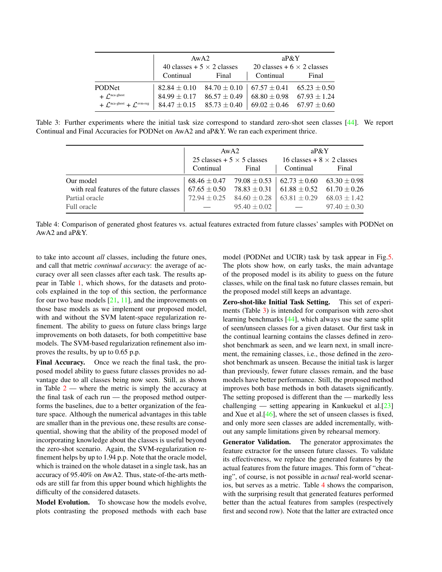|                                                                     | AwA2                              |                                                                     | $a P \& Y$                        |       |  |
|---------------------------------------------------------------------|-----------------------------------|---------------------------------------------------------------------|-----------------------------------|-------|--|
|                                                                     | 40 classes + $5 \times 2$ classes |                                                                     | 20 classes + $6 \times 2$ classes |       |  |
|                                                                     | Continual                         | Final                                                               | Continual                         | Final |  |
| <b>PODNet</b>                                                       |                                   | $82.84 \pm 0.10$ $84.70 \pm 0.10$ $67.57 \pm 0.41$ $65.23 \pm 0.50$ |                                   |       |  |
| $+ C^{nca-ghost}$                                                   | $84.99 \pm 0.17$                  | $86.57 \pm 0.49$                                                    | $68.80 \pm 0.98$ $67.93 \pm 1.24$ |       |  |
| + $\mathcal{L}^{\text{nca-ghost}}$ + $\mathcal{L}^{\text{sum-reg}}$ |                                   | $84.47 \pm 0.15$ $85.73 \pm 0.40$                                   | $69.02 \pm 0.46$ $67.97 \pm 0.60$ |       |  |

Table 3: Further experiments where the initial task size correspond to standard zero-shot seen classes [44]. We report Continual and Final Accuracies for PODNet on AwA2 and aP&Y. We ran each experiment thrice.

|                                          |                                   | AwA2             | $a P \& Y$<br>16 classes + $8 \times 2$ classes                     |                  |
|------------------------------------------|-----------------------------------|------------------|---------------------------------------------------------------------|------------------|
|                                          | 25 classes + $5 \times 5$ classes |                  |                                                                     |                  |
|                                          | Continual                         | Final            | Continual                                                           | Final            |
| Our model                                |                                   |                  | $68.46 \pm 0.47$ 79.08 $\pm 0.53$ 62.73 $\pm 0.60$ 63.30 $\pm 0.98$ |                  |
| with real features of the future classes | $67.65 \pm 0.50$                  | 78.83 $\pm$ 0.31 | $61.88 \pm 0.52$ $61.70 \pm 0.26$                                   |                  |
| Partial oracle                           | $72.94 \pm 0.25$                  | $84.60 \pm 0.28$ | $63.81 \pm 0.29$                                                    | $68.03 \pm 1.42$ |
| Full oracle                              |                                   | $95.40 \pm 0.02$ |                                                                     | $97.40 \pm 0.30$ |

Table 4: Comparison of generated ghost features vs. actual features extracted from future classes' samples with PODNet on AwA2 and aP&Y.

to take into account *all* classes, including the future ones, and call that metric *continual accuracy*: the average of accuracy over all seen classes after each task. The results appear in Table 1, which shows, for the datasets and protocols explained in the top of this section, the performance for our two base models  $[21, 11]$ , and the improvements on those base models as we implement our proposed model, with and without the SVM latent-space regularization refinement. The ability to guess on future class brings large improvements on both datasets, for both competittive base models. The SVM-based regularization refinement also improves the results, by up to 0.65 p.p.

Final Accuracy. Once we reach the final task, the proposed model ability to guess future classes provides no advantage due to all classes being now seen. Still, as shown in Table  $2$  — where the metric is simply the accuracy at the final task of each run — the proposed method outperforms the baselines, due to a better organization of the feature space. Although the numerical advantages in this table are smaller than in the previous one, these results are consequential, showing that the ability of the proposed model of incorporating knowledge about the classes is useful beyond the zero-shot scenario. Again, the SVM-regularization refinement helps by up to 1.94 p.p. Note that the oracle model, which is trained on the whole dataset in a single task, has an accuracy of 95.40% on AwA2. Thus, state-of-the-arts methods are still far from this upper bound which highlights the difficulty of the considered datasets.

Model Evolution. To showcase how the models evolve, plots contrasting the proposed methods with each base model (PODNet and UCIR) task by task appear in Fig.5. The plots show how, on early tasks, the main advantage of the proposed model is its ability to guess on the future classes, while on the final task no future classes remain, but the proposed model still keeps an advantage.

Zero-shot-like Initial Task Setting. This set of experiments (Table 3) is intended for comparison with zero-shot learning benchmarks [44], which always use the same split of seen/unseen classes for a given dataset. Our first task in the continual learning contains the classes defined in zeroshot benchmark as seen, and we learn next, in small increment, the remaining classes, i.e., those defined in the zeroshot benchmark as unseen. Because the initial task is larger than previously, fewer future classes remain, and the base models have better performance. Still, the proposed method improves both base methods in both datasets significantly. The setting proposed is different than the — markedly less challenging — setting appearing in Kankuekul et al.[23] and Xue et al.[46], where the set of unseen classes is fixed, and only more seen classes are added incrementally, without any sample limitations given by rehearsal memory.

Generator Validation. The generator approximates the feature extractor for the unseen future classes. To validate its effectiveness, we replace the generated features by the actual features from the future images. This form of "cheating", of course, is not possible in *actual* real-world scenarios, but serves as a metric. Table 4 shows the comparison, with the surprising result that generated features performed better than the actual features from samples (respectively first and second row). Note that the latter are extracted once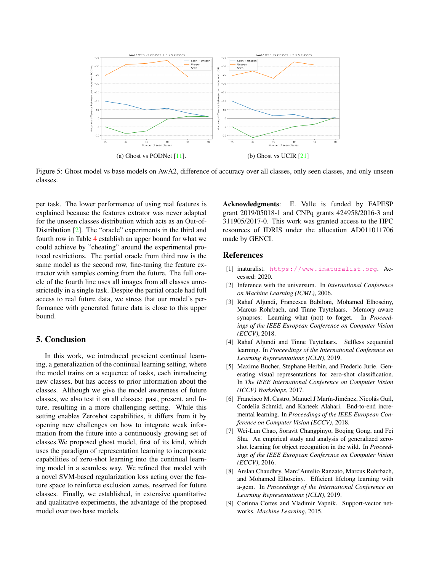

Figure 5: Ghost model vs base models on AwA2, difference of accuracy over all classes, only seen classes, and only unseen classes.

per task. The lower performance of using real features is explained because the features extrator was never adapted for the unseen classes distribution which acts as an Out-of-Distribution [2]. The "oracle" experiments in the third and fourth row in Table 4 establish an upper bound for what we could achieve by "cheating" around the experimental protocol restrictions. The partial oracle from third row is the same model as the second row, fine-tuning the feature extractor with samples coming from the future. The full oracle of the fourth line uses all images from all classes unrestrictedly in a single task. Despite the partial oracle had full access to real future data, we stress that our model's performance with generated future data is close to this upper bound.

## 5. Conclusion

In this work, we introduced prescient continual learning, a generalization of the continual learning setting, where the model trains on a sequence of tasks, each introducing new classes, but has access to prior information about the classes. Although we give the model awareness of future classes, we also test it on all classes: past, present, and future, resulting in a more challenging setting. While this setting enables Zeroshot capabilities, it differs from it by opening new challenges on how to integrate weak information from the future into a continuously growing set of classes.We proposed ghost model, first of its kind, which uses the paradigm of representation learning to incorporate capabilities of zero-shot learning into the continual learning model in a seamless way. We refined that model with a novel SVM-based regularization loss acting over the feature space to reinforce exclusion zones, reserved for future classes. Finally, we established, in extensive quantitative and qualitative experiments, the advantage of the proposed model over two base models.

Acknowledgments: E. Valle is funded by FAPESP grant 2019/05018-1 and CNPq grants 424958/2016-3 and 311905/2017-0. This work was granted access to the HPC resources of IDRIS under the allocation AD011011706 made by GENCI.

## References

- [1] inaturalist. https://www.inaturalist.org. Accessed: 2020.
- [2] Inference with the universum. In *International Conference on Machine Learning (ICML)*, 2006.
- [3] Rahaf Aljundi, Francesca Babiloni, Mohamed Elhoseiny, Marcus Rohrbach, and Tinne Tuytelaars. Memory aware synapses: Learning what (not) to forget. In *Proceedings of the IEEE European Conference on Computer Vision (ECCV)*, 2018.
- [4] Rahaf Aljundi and Tinne Tuytelaars. Selfless sequential learning. In *Proceedings of the International Conference on Learning Representations (ICLR)*, 2019.
- [5] Maxime Bucher, Stephane Herbin, and Frederic Jurie. Generating visual representations for zero-shot classification. In *The IEEE International Conference on Computer Vision (ICCV) Workshops*, 2017.
- [6] Francisco M. Castro, Manuel J Marín-Jiménez, Nicolás Guil, Cordelia Schmid, and Karteek Alahari. End-to-end incremental learning. In *Proceedings of the IEEE European Conference on Computer Vision (ECCV)*, 2018.
- [7] Wei-Lun Chao, Soravit Changpinyo, Boqing Gong, and Fei Sha. An empirical study and analysis of generalized zeroshot learning for object recognition in the wild. In *Proceedings of the IEEE European Conference on Computer Vision (ECCV)*, 2016.
- [8] Arslan Chaudhry, Marc'Aurelio Ranzato, Marcus Rohrbach, and Mohamed Elhoseiny. Efficient lifelong learning with a-gem. In *Proceedings of the International Conference on Learning Representations (ICLR)*, 2019.
- [9] Corinna Cortes and Vladimir Vapnik. Support-vector networks. *Machine Learning*, 2015.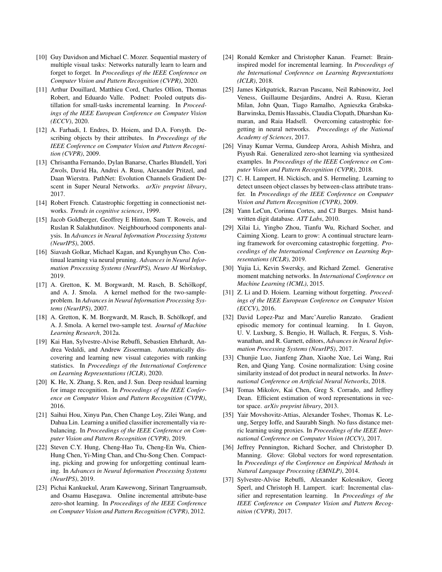- [10] Guy Davidson and Michael C. Mozer. Sequential mastery of multiple visual tasks: Networks naturally learn to learn and forget to forget. In *Proceedings of the IEEE Conference on Computer Vision and Pattern Recognition (CVPR)*, 2020.
- [11] Arthur Douillard, Matthieu Cord, Charles Ollion, Thomas Robert, and Eduardo Valle. Podnet: Pooled outputs distillation for small-tasks incremental learning. In *Proceedings of the IEEE European Conference on Computer Vision (ECCV)*, 2020.
- [12] A. Farhadi, I. Endres, D. Hoiem, and D.A. Forsyth. Describing objects by their attributes. In *Proceedings of the IEEE Conference on Computer Vision and Pattern Recognition (CVPR)*, 2009.
- [13] Chrisantha Fernando, Dylan Banarse, Charles Blundell, Yori Zwols, David Ha, Andrei A. Rusu, Alexander Pritzel, and Daan Wierstra. PathNet: Evolution Channels Gradient Descent in Super Neural Networks. *arXiv preprint library*, 2017.
- [14] Robert French. Catastrophic forgetting in connectionist networks. *Trends in cognitive sciences*, 1999.
- [15] Jacob Goldberger, Geoffrey E Hinton, Sam T. Roweis, and Ruslan R Salakhutdinov. Neighbourhood components analysis. In *Advances in Neural Information Processing Systems (NeurIPS)*, 2005.
- [16] Siavash Golkar, Michael Kagan, and Kyunghyun Cho. Continual learning via neural pruning. *Advances in Neural Information Processing Systems (NeurIPS), Neuro AI Workshop*, 2019.
- [17] A. Gretton, K. M. Borgwardt, M. Rasch, B. Schölkopf, and A. J. Smola. A kernel method for the two-sampleproblem. In *Advances in Neural Information Processing Systems (NeurIPS)*, 2007.
- [18] A. Gretton, K. M. Borgwardt, M. Rasch, B. Schölkopf, and A. J. Smola. A kernel two-sample test. *Journal of Machine Learning Research*, 2012a.
- [19] Kai Han, Sylvestre-Alvise Rebuffi, Sebastien Ehrhardt, Andrea Vedaldi, and Andrew Zisserman. Automatically discovering and learning new visual categories with ranking statistics. In *Proceedings of the International Conference on Learning Representations (ICLR)*, 2020.
- [20] K. He, X. Zhang, S. Ren, and J. Sun. Deep residual learning for image recognition. In *Proceedings of the IEEE Conference on Computer Vision and Pattern Recognition (CVPR)*, 2016.
- [21] Saihui Hou, Xinyu Pan, Chen Change Loy, Zilei Wang, and Dahua Lin. Learning a unified classifier incrementally via rebalancing. In *Proceedings of the IEEE Conference on Computer Vision and Pattern Recognition (CVPR)*, 2019.
- [22] Steven C.Y. Hung, Cheng-Hao Tu, Cheng-En Wu, Chien-Hung Chen, Yi-Ming Chan, and Chu-Song Chen. Compacting, picking and growing for unforgetting continual learning. In *Advances in Neural Information Processing Systems (NeurIPS)*, 2019.
- [23] Pichai Kankuekul, Aram Kawewong, Sirinart Tangruamsub, and Osamu Hasegawa. Online incremental attribute-base zero-shot learning. In *Proceedings of the IEEE Conference on Computer Vision and Pattern Recognition (CVPR)*, 2012.
- [24] Ronald Kemker and Christopher Kanan. Fearnet: Braininspired model for incremental learning. In *Proceedings of the International Conference on Learning Representations (ICLR)*, 2018.
- [25] James Kirkpatrick, Razvan Pascanu, Neil Rabinowitz, Joel Veness, Guillaume Desjardins, Andrei A. Rusu, Kieran Milan, John Quan, Tiago Ramalho, Agnieszka Grabska-Barwinska, Demis Hassabis, Claudia Clopath, Dharshan Kumaran, and Raia Hadsell. Overcoming catastrophic forgetting in neural networks. *Proceedings of the National Academy of Sciences*, 2017.
- [26] Vinay Kumar Verma, Gundeep Arora, Ashish Mishra, and Piyush Rai. Generalized zero-shot learning via synthesized examples. In *Proceedings of the IEEE Conference on Computer Vision and Pattern Recognition (CVPR)*, 2018.
- [27] C. H. Lampert, H. Nickisch, and S. Hermeling. Learning to detect unseen object classes by between-class attribute transfer. In *Proceedings of the IEEE Conference on Computer Vision and Pattern Recognition (CVPR)*, 2009.
- [28] Yann LeCun, Corinna Cortes, and CJ Burges. Mnist handwritten digit database. *ATT Labs*, 2010.
- [29] Xilai Li, Yingbo Zhou, Tianfu Wu, Richard Socher, and Caiming Xiong. Learn to grow: A continual structure learning framework for overcoming catastrophic forgetting. *Proceedings of the International Conference on Learning Representations (ICLR)*, 2019.
- [30] Yujia Li, Kevin Swersky, and Richard Zemel. Generative moment matching networks. In *International Conference on Machine Learning (ICML)*, 2015.
- [31] Z. Li and D. Hoiem. Learning without forgetting. *Proceedings of the IEEE European Conference on Computer Vision (ECCV)*, 2016.
- [32] David Lopez-Paz and Marc'Aurelio Ranzato. Gradient episodic memory for continual learning. In I. Guyon, U. V. Luxburg, S. Bengio, H. Wallach, R. Fergus, S. Vishwanathan, and R. Garnett, editors, *Advances in Neural Information Processing Systems (NeurIPS)*, 2017.
- [33] Chunjie Luo, Jianfeng Zhan, Xiaohe Xue, Lei Wang, Rui Ren, and Qiang Yang. Cosine normalization: Using cosine similarity instead of dot product in neural networks. In *International Conference on Artificial Neural Networks*, 2018.
- [34] Tomas Mikolov, Kai Chen, Greg S. Corrado, and Jeffrey Dean. Efficient estimation of word representations in vector space. *arXiv preprint library*, 2013.
- [35] Yair Movshovitz-Attias, Alexander Toshev, Thomas K. Leung, Sergey Ioffe, and Saurabh Singh. No fuss distance metric learning using proxies. In *Proceedings of the IEEE International Conference on Computer Vision (ICCV)*, 2017.
- [36] Jeffrey Pennington, Richard Socher, and Christopher D. Manning. Glove: Global vectors for word representation. In *Proceedings of the Conference on Empirical Methods in Natural Language Processing (EMNLP)*, 2014.
- [37] Sylvestre-Alvise Rebuffi, Alexander Kolesnikov, Georg Sperl, and Christoph H. Lampert. icarl: Incremental classifier and representation learning. In *Proceedings of the IEEE Conference on Computer Vision and Pattern Recognition (CVPR)*, 2017.